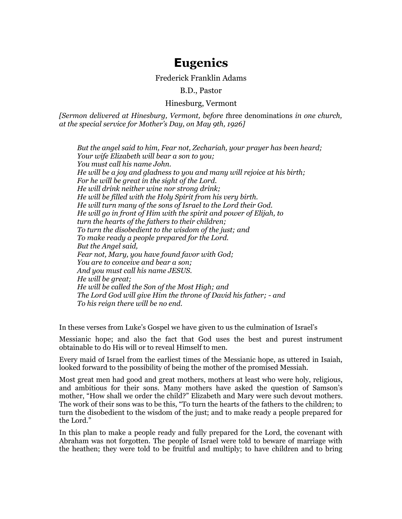# **Eugenics**

## Frederick Franklin Adams

B.D., Pastor

## Hinesburg, Vermont

*[Sermon delivered at Hinesburg, Vermont, before t*hree denominations *in one church, at the special service for Mother's Day, on May 9th, 1926]*

*But the angel said to him, Fear not, Zechariah, your prayer has been heard; Your wife Elizabeth will bear a son to you; You must call his name John. He will be a joy and gladness to you and many will rejoice at his birth; For he will be great in the sight of the Lord. He will drink neither wine nor strong drink; He will be filled with the Holy Spirit from his very birth. He will turn many of the sons of Israel to the Lord their God. He will go in front of Him with the spirit and power of Elijah, to turn the hearts of the fathers to their children; To turn the disobedient to the wisdom of the just; and To make ready a people prepared for the Lord. But the Angel said, Fear not, Mary, you have found favor with God; You are to conceive and bear a son; And you must call his name JESUS. He will be great; He will be called the Son of the Most High; and The Lord God will give Him the throne of David his father; - and To his reign there will be no end.*

In these verses from Luke's Gospel we have given to us the culmination of Israel's

Messianic hope; and also the fact that God uses the best and purest instrument obtainable to do His will or to reveal Himself to men.

Every maid of Israel from the earliest times of the Messianic hope, as uttered in Isaiah, looked forward to the possibility of being the mother of the promised Messiah.

Most great men had good and great mothers, mothers at least who were holy, religious, and ambitious for their sons. Many mothers have asked the question of Samson's mother, "How shall we order the child?" Elizabeth and Mary were such devout mothers. The work of their sons was to be this, "To turn the hearts of the fathers to the children; to turn the disobedient to the wisdom of the just; and to make ready a people prepared for the Lord."

In this plan to make a people ready and fully prepared for the Lord, the covenant with Abraham was not forgotten. The people of Israel were told to beware of marriage with the heathen; they were told to be fruitful and multiply; to have children and to bring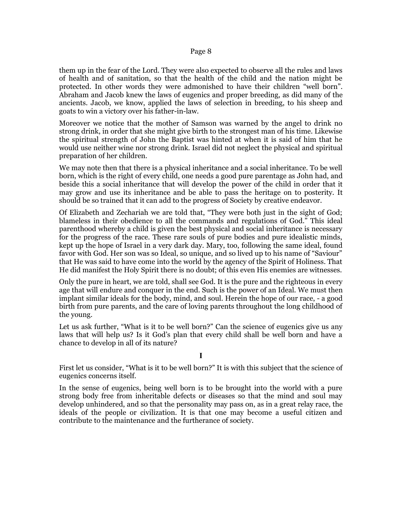them up in the fear of the Lord. They were also expected to observe all the rules and laws of health and of sanitation, so that the health of the child and the nation might be protected. In other words they were admonished to have their children "well born". Abraham and Jacob knew the laws of eugenics and proper breeding, as did many of the ancients. Jacob, we know, applied the laws of selection in breeding, to his sheep and goats to win a victory over his father-in-law.

Moreover we notice that the mother of Samson was warned by the angel to drink no strong drink, in order that she might give birth to the strongest man of his time. Likewise the spiritual strength of John the Baptist was hinted at when it is said of him that he would use neither wine nor strong drink. Israel did not neglect the physical and spiritual preparation of her children.

We may note then that there is a physical inheritance and a social inheritance. To be well born, which is the right of every child, one needs a good pure parentage as John had, and beside this a social inheritance that will develop the power of the child in order that it may grow and use its inheritance and be able to pass the heritage on to posterity. It should be so trained that it can add to the progress of Society by creative endeavor.

Of Elizabeth and Zechariah we are told that, "They were both just in the sight of God; blameless in their obedience to all the commands and regulations of God." This ideal parenthood whereby a child is given the best physical and social inheritance is necessary for the progress of the race. These rare souls of pure bodies and pure idealistic minds, kept up the hope of Israel in a very dark day. Mary, too, following the same ideal, found favor with God. Her son was so Ideal, so unique, and so lived up to his name of "Saviour" that He was said to have come into the world by the agency of the Spirit of Holiness. That He did manifest the Holy Spirit there is no doubt; of this even His enemies are witnesses.

Only the pure in heart, we are told, shall see God. It is the pure and the righteous in every age that will endure and conquer in the end. Such is the power of an Ideal. We must then implant similar ideals for the body, mind, and soul. Herein the hope of our race, - a good birth from pure parents, and the care of loving parents throughout the long childhood of the young.

Let us ask further, "What is it to be well born?" Can the science of eugenics give us any laws that will help us? Is it God's plan that every child shall be well born and have a chance to develop in all of its nature?

**I**

First let us consider, "What is it to be well born?" It is with this subject that the science of eugenics concerns itself.

In the sense of eugenics, being well born is to be brought into the world with a pure strong body free from inheritable defects or diseases so that the mind and soul may develop unhindered, and so that the personality may pass on, as in a great relay race, the ideals of the people or civilization. It is that one may become a useful citizen and contribute to the maintenance and the furtherance of society.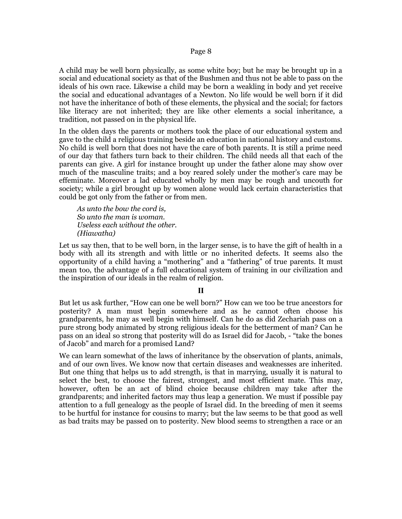A child may be well born physically, as some white boy; but he may be brought up in a social and educational society as that of the Bushmen and thus not be able to pass on the ideals of his own race. Likewise a child may be born a weakling in body and yet receive the social and educational advantages of a Newton. No life would be well born if it did not have the inheritance of both of these elements, the physical and the social; for factors like literacy are not inherited; they are like other elements a social inheritance, a tradition, not passed on in the physical life.

In the olden days the parents or mothers took the place of our educational system and gave to the child a religious training beside an education in national history and customs. No child is well born that does not have the care of both parents. It is still a prime need of our day that fathers turn back to their children. The child needs all that each of the parents can give. A girl for instance brought up under the father alone may show over much of the masculine traits; and a boy reared solely under the mother's care may be effeminate. Moreover a lad educated wholly by men may be rough and uncouth for society; while a girl brought up by women alone would lack certain characteristics that could be got only from the father or from men.

*As unto the bow the cord is, So unto the man is woman. Useless each without the other. (Hiawatha)*

Let us say then, that to be well born, in the larger sense, is to have the gift of health in a body with all its strength and with little or no inherited defects. It seems also the opportunity of a child having a "mothering" and a "fathering" of true parents. It must mean too, the advantage of a full educational system of training in our civilization and the inspiration of our ideals in the realm of religion.

#### **II**

But let us ask further, "How can one be well born?" How can we too be true ancestors for posterity? A man must begin somewhere and as he cannot often choose his grandparents, he may as well begin with himself. Can he do as did Zechariah pass on a pure strong body animated by strong religious ideals for the betterment of man? Can he pass on an ideal so strong that posterity will do as Israel did for Jacob, - "take the bones of Jacob" and march for a promised Land?

We can learn somewhat of the laws of inheritance by the observation of plants, animals, and of our own lives. We know now that certain diseases and weaknesses are inherited. But one thing that helps us to add strength, is that in marrying, usually it is natural to select the best, to choose the fairest, strongest, and most efficient mate. This may, however, often be an act of blind choice because children may take after the grandparents; and inherited factors may thus leap a generation. We must if possible pay attention to a full genealogy as the people of Israel did. In the breeding of men it seems to be hurtful for instance for cousins to marry; but the law seems to be that good as well as bad traits may be passed on to posterity. New blood seems to strengthen a race or an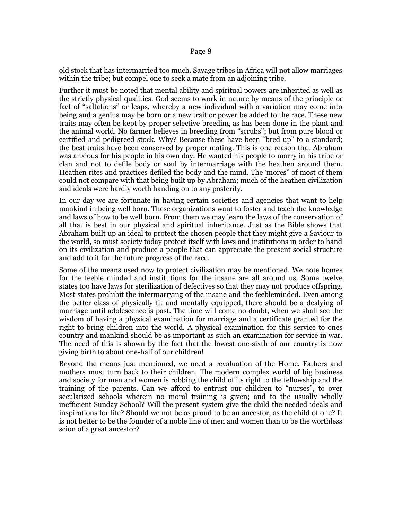old stock that has intermarried too much. Savage tribes in Africa will not allow marriages within the tribe; but compel one to seek a mate from an adjoining tribe.

Further it must be noted that mental ability and spiritual powers are inherited as well as the strictly physical qualities. God seems to work in nature by means of the principle or fact of "saltations" or leaps, whereby a new individual with a variation may come into being and a genius may be born or a new trait or power be added to the race. These new traits may often be kept by proper selective breeding as has been done in the plant and the animal world. No farmer believes in breeding from "scrubs"; but from pure blood or certified and pedigreed stock. Why? Because these have been "bred up" to a standard; the best traits have been conserved by proper mating. This is one reason that Abraham was anxious for his people in his own day. He wanted his people to marry in his tribe or clan and not to defile body or soul by intermarriage with the heathen around them. Heathen rites and practices defiled the body and the mind. The 'mores" of most of them could not compare with that being built up by Abraham; much of the heathen civilization and ideals were hardly worth handing on to any posterity.

In our day we are fortunate in having certain societies and agencies that want to help mankind in being well born. These organizations want to foster and teach the knowledge and laws of how to be well born. From them we may learn the laws of the conservation of all that is best in our physical and spiritual inheritance. Just as the Bible shows that Abraham built up an ideal to protect the chosen people that they might give a Saviour to the world, so must society today protect itself with laws and institutions in order to hand on its civilization and produce a people that can appreciate the present social structure and add to it for the future progress of the race.

Some of the means used now to protect civilization may be mentioned. We note homes for the feeble minded and institutions for the insane are all around us. Some twelve states too have laws for sterilization of defectives so that they may not produce offspring. Most states prohibit the intermarrying of the insane and the feebleminded. Even among the better class of physically fit and mentally equipped, there should be a dealying of marriage until adolescence is past. The time will come no doubt, when we shall see the wisdom of having a physical examination for marriage and a certificate granted for the right to bring children into the world. A physical examination for this service to ones country and mankind should be as important as such an examination for service in war. The need of this is shown by the fact that the lowest one-sixth of our country is now giving birth to about one-half of our children!

Beyond the means just mentioned, we need a revaluation of the Home. Fathers and mothers must turn back to their children. The modern complex world of big business and society for men and women is robbing the child of its right to the fellowship and the training of the parents. Can we afford to entrust our children to "nurses", to over secularized schools wherein no moral training is given; and to the usually wholly inefficient Sunday School? Will the present system give the child the needed ideals and inspirations for life? Should we not be as proud to be an ancestor, as the child of one? It is not better to be the founder of a noble line of men and women than to be the worthless scion of a great ancestor?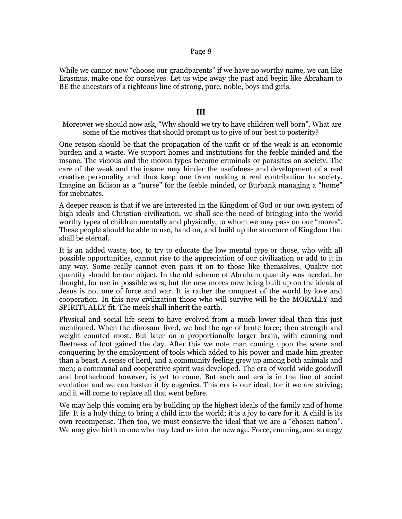While we cannot now "choose our grandparents" if we have no worthy name, we can like Erasmus, make one for ourselves. Let us wipe away the past and begin like Abraham to BE the ancestors of a righteous line of strong, pure, noble, boys and girls.

## **III**

Moreover we should now ask, "Why should we try to have children well born". What are some of the motives that should prompt us to give of our best to posterity?

One reason should be that the propagation of the unfit or of the weak is an economic burden and a waste. We support homes and institutions for the feeble minded and the insane. The vicious and the moron types become criminals or parasites on society. The care of the weak and the insane may hinder the usefulness and development of a real creative personality and thus keep one from making a real contribution to society. Imagine an Edison as a "nurse" for the feeble minded, or Burbank managing a "home" for inebriates.

A deeper reason is that if we are interested in the Kingdom of God or our own system of high ideals and Christian civilization, we shall see the need of bringing into the world worthy types of children mentally and physically, to whom we may pass on our "mores". These people should be able to use, hand on, and build up the structure of Kingdom that shall be eternal.

It is an added waste, too, to try to educate the low mental type or those, who with all possible opportunities, cannot rise to the appreciation of our civilization or add to it in any way. Some really cannot even pass it on to those like themselves. Quality not quantity should be our object. In the old scheme of Abraham quantity was needed, he thought, for use in possible wars; but the new mores now being built up on the ideals of Jesus is not one of force and war. It is rather the conquest of the world by love and cooperation. In this new civilization those who will survive will be the MORALLY and SPIRITUALLY fit. The meek shall inherit the earth.

Physical and social life seem to have evolved from a much lower ideal than this just mentioned. When the dinosaur lived, we had the age of brute force; then strength and weight counted most. But later on a proportionally larger brain, with cunning and fleetness of foot gained the day. After this we note man coming upon the scene and conquering by the employment of tools which added to his power and made him greater than a beast. A sense of herd, and a community feeling grew up among both animals and men; a communal and cooperative spirit was developed. The era of world wide goodwill and brotherhood however, is yet to come. But such and era is in the line of social evolution and we can hasten it by eugenics. This era is our ideal; for it we are striving; and it will come to replace all that went before.

We may help this coming era by building up the highest ideals of the family and of home life. It is a holy thing to bring a child into the world; it is a joy to care for it. A child is its own recompense. Then too, we must conserve the ideal that we are a "chosen nation". We may give birth to one who may lead us into the new age. Force, cunning, and strategy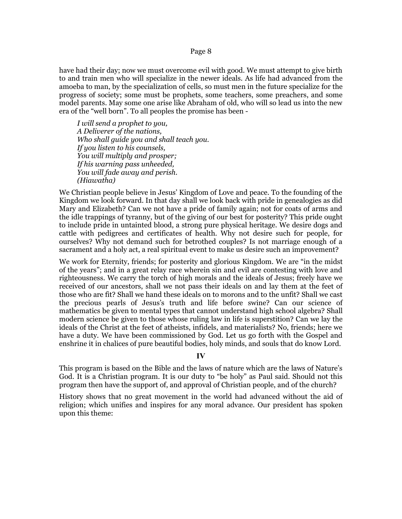have had their day; now we must overcome evil with good. We must attempt to give birth to and train men who will specialize in the newer ideals. As life had advanced from the amoeba to man, by the specialization of cells, so must men in the future specialize for the progress of society; some must be prophets, some teachers, some preachers, and some model parents. May some one arise like Abraham of old, who will so lead us into the new era of the "well born". To all peoples the promise has been -

*I will send a prophet to you, A Deliverer of the nations, Who shall guide you and shall teach you. If you listen to his counsels, You will multiply and prosper; If his warning pass unheeded, You will fade away and perish. (Hiawatha)*

We Christian people believe in Jesus' Kingdom of Love and peace. To the founding of the Kingdom we look forward. In that day shall we look back with pride in genealogies as did Mary and Elizabeth? Can we not have a pride of family again; not for coats of arms and the idle trappings of tyranny, but of the giving of our best for posterity? This pride ought to include pride in untainted blood, a strong pure physical heritage. We desire dogs and cattle with pedigrees and certificates of health. Why not desire such for people, for ourselves? Why not demand such for betrothed couples? Is not marriage enough of a sacrament and a holy act, a real spiritual event to make us desire such an improvement?

We work for Eternity, friends; for posterity and glorious Kingdom. We are "in the midst of the years"; and in a great relay race wherein sin and evil are contesting with love and righteousness. We carry the torch of high morals and the ideals of Jesus; freely have we received of our ancestors, shall we not pass their ideals on and lay them at the feet of those who are fit? Shall we hand these ideals on to morons and to the unfit? Shall we cast the precious pearls of Jesus's truth and life before swine? Can our science of mathematics be given to mental types that cannot understand high school algebra? Shall modern science be given to those whose ruling law in life is superstition? Can we lay the ideals of the Christ at the feet of atheists, infidels, and materialists? No, friends; here we have a duty. We have been commissioned by God. Let us go forth with the Gospel and enshrine it in chalices of pure beautiful bodies, holy minds, and souls that do know Lord.

## **IV**

This program is based on the Bible and the laws of nature which are the laws of Nature's God. It is a Christian program. It is our duty to "be holy" as Paul said. Should not this program then have the support of, and approval of Christian people, and of the church?

History shows that no great movement in the world had advanced without the aid of religion; which unifies and inspires for any moral advance. Our president has spoken upon this theme: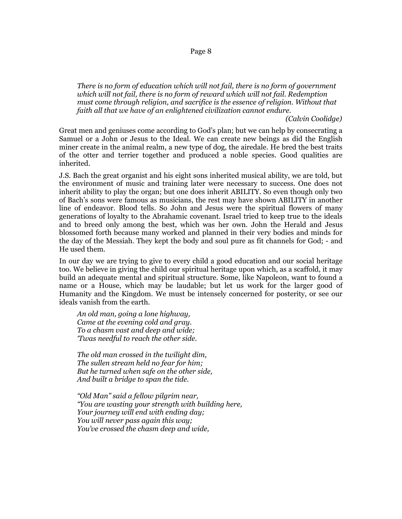*There is no form of education which will not fail, there is no form of government which will not fail, there is no form of reward which will not fail. Redemption must come through religion, and sacrifice is the essence of religion. Without that faith all that we have of an enlightened civilization cannot endure.*

*(Calvin Coolidge)*

Great men and geniuses come according to God's plan; but we can help by consecrating a Samuel or a John or Jesus to the Ideal. We can create new beings as did the English miner create in the animal realm, a new type of dog, the airedale. He bred the best traits of the otter and terrier together and produced a noble species. Good qualities are inherited.

J.S. Bach the great organist and his eight sons inherited musical ability, we are told, but the environment of music and training later were necessary to success. One does not inherit ability to play the organ; but one does inherit ABILITY. So even though only two of Bach's sons were famous as musicians, the rest may have shown ABILITY in another line of endeavor. Blood tells. So John and Jesus were the spiritual flowers of many generations of loyalty to the Abrahamic covenant. Israel tried to keep true to the ideals and to breed only among the best, which was her own. John the Herald and Jesus blossomed forth because many worked and planned in their very bodies and minds for the day of the Messiah. They kept the body and soul pure as fit channels for God; - and He used them.

In our day we are trying to give to every child a good education and our social heritage too. We believe in giving the child our spiritual heritage upon which, as a scaffold, it may build an adequate mental and spiritual structure. Some, like Napoleon, want to found a name or a House, which may be laudable; but let us work for the larger good of Humanity and the Kingdom. We must be intensely concerned for posterity, or see our ideals vanish from the earth.

*An old man, going a lone highway, Came at the evening cold and gray. To a chasm vast and deep and wide; 'Twas needful to reach the other side.*

*The old man crossed in the twilight dim, The sullen stream held no fear for him; But he turned when safe on the other side, And built a bridge to span the tide.*

*"Old Man" said a fellow pilgrim near, "You are wasting your strength with building here, Your journey will end with ending day; You will never pass again this way; You've crossed the chasm deep and wide,*